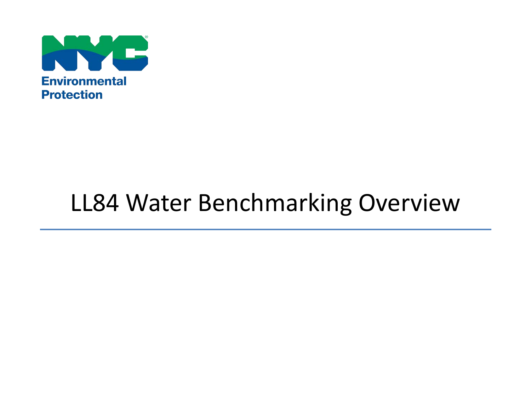

# LL84 Water Benchmarking Overview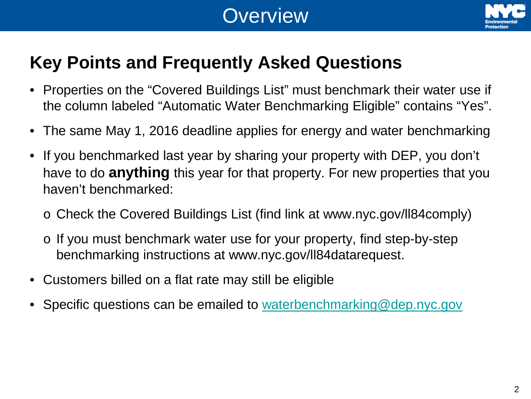# **Overview**



# **Key Points and Frequently Asked Questions**

- Properties on the "Covered Buildings List" must benchmark their water use if the column labeled "Automatic Water Benchmarking Eligible" contains "Yes".
- The same May 1, 2016 deadline applies for energy and water benchmarking
- If you benchmarked last year by sharing your property with DEP, you don't have to do **anything** this year for that property. For new properties that you haven't benchmarked:
	- o Check the Covered Buildings List (find link at www.nyc.gov/ll84comply)
	- o If you must benchmark water use for your property, find step-by-step benchmarking instructions at www.nyc.gov/ll84datarequest.
- Customers billed on a flat rate may still be eligible
- Specific questions can be emailed to [waterbenchmarking@dep.nyc.gov](mailto:waterbenchmarking@dep.nyc.gov)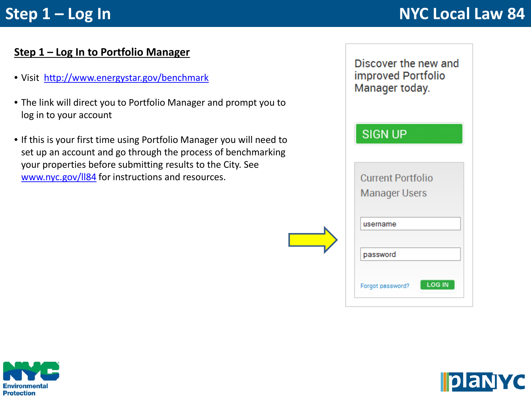# **Step 1 – Log In**  $\overline{M}$  **Step 1 – Log In**

#### **Step 1 – Log In to Portfolio Manager**

- Visit [http://www.energystar.gov/benchmark](https://www.energystar.gov/benchmark)
- The link will direct you to Portfolio Manager and prompt you to log in to your account
- If this is your first time using Portfolio Manager you will need to set up an account and go through the process of benchmarking your properties before submitting results to the City. See [www.nyc.gov/ll84](http://www.nyc.gov/ll84) for instructions and resources.





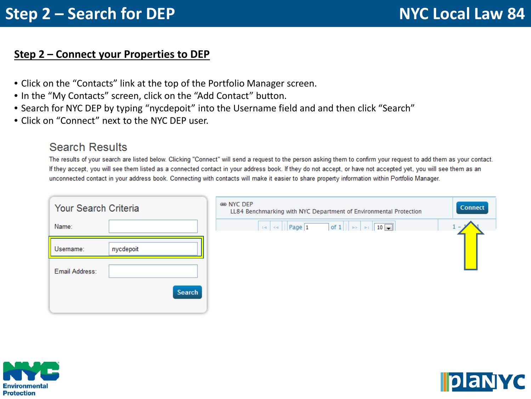#### **Step 2 – Connect your Properties to DEP**

- Click on the "Contacts" link at the top of the Portfolio Manager screen.
- In the "My Contacts" screen, click on the "Add Contact" button.
- Search for NYC DEP by typing "nycdepoit" into the Username field and and then click "Search"
- Click on "Connect" next to the NYC DEP user.

#### **Search Results**

The results of your search are listed below. Clicking "Connect" will send a request to the person asking them to confirm your request to add them as your contact. If they accept, you will see them listed as a connected contact in your address book. If they do not accept, or have not accepted yet, you will see them as an unconnected contact in your address book. Connecting with contacts will make it easier to share property information within Portfolio Manager.

| <b>Your Search Criteria</b> |               |  |  |
|-----------------------------|---------------|--|--|
| Name:                       |               |  |  |
| Username:                   | nycdepoit     |  |  |
| Email Address:              |               |  |  |
|                             | <b>Search</b> |  |  |

| ≋ NYC DEP<br>LL84 Benchmarking with NYC Department of Environmental Protection | <b>Connect</b> |
|--------------------------------------------------------------------------------|----------------|
|                                                                                |                |
|                                                                                |                |



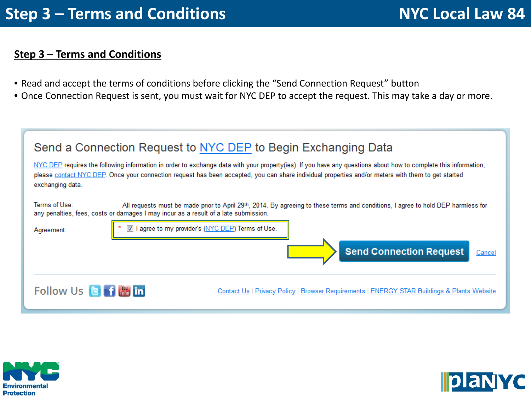### **Step 3 – Terms and Conditions**

- Read and accept the terms of conditions before clicking the "Send Connection Request" button
- Once Connection Request is sent, you must wait for NYC DEP to accept the request. This may take a day or more.

| Send a Connection Request to NYC DEP to Begin Exchanging Data                                                                                                                                                                                                                                                                             |                                                                                                                                                                                    |  |  |  |  |
|-------------------------------------------------------------------------------------------------------------------------------------------------------------------------------------------------------------------------------------------------------------------------------------------------------------------------------------------|------------------------------------------------------------------------------------------------------------------------------------------------------------------------------------|--|--|--|--|
| NYC DEP requires the following information in order to exchange data with your property(ies). If you have any questions about how to complete this information,<br>please contact NYC DEP. Once your connection request has been accepted, you can share individual properties and/or meters with them to get started<br>exchanging data. |                                                                                                                                                                                    |  |  |  |  |
| Terms of Use:<br>any penalties, fees, costs or damages I may incur as a result of a late submission.<br>Agreement:                                                                                                                                                                                                                        | All requests must be made prior to April 29th, 2014. By agreeing to these terms and conditions, I agree to hold DEP harmless for<br>agree to my provider's (NYC DEP) Terms of Use. |  |  |  |  |
|                                                                                                                                                                                                                                                                                                                                           | <b>Send Connection Request</b><br>Cancel                                                                                                                                           |  |  |  |  |
| Follow Us <b>B f i in</b>                                                                                                                                                                                                                                                                                                                 | Contact Us   Privacy Policy   Browser Requirements   ENERGY STAR Buildings & Plants Website                                                                                        |  |  |  |  |



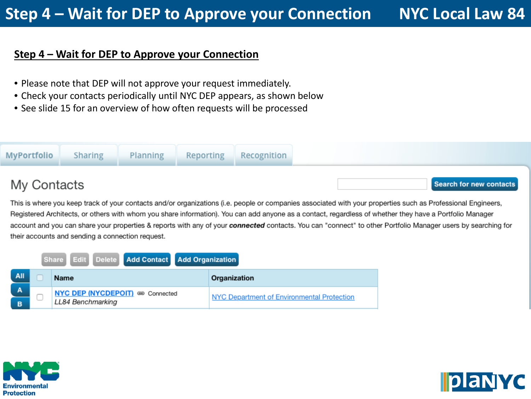#### **Step 4 – Wait for DEP to Approve your Connection**

- Please note that DEP will not approve your request immediately.
- Check your contacts periodically until NYC DEP appears, as shown below
- See slide 15 for an overview of how often requests will be processed



This is where you keep track of your contacts and/or organizations (i.e. people or companies associated with your properties such as Professional Engineers, Registered Architects, or others with whom you share information). You can add anyone as a contact, regardless of whether they have a Portfolio Manager account and you can share your properties & reports with any of your connected contacts. You can "connect" to other Portfolio Manager users by searching for their accounts and sending a connection request.

|        |                   | Share Edit Delete Add Contact Add Organization |              |                                            |
|--------|-------------------|------------------------------------------------|--------------|--------------------------------------------|
| All    | <b>Name</b>       |                                                | Organization |                                            |
| A<br>в | LL84 Benchmarking | NYC DEP (NYCDEPOIT) 680 Connected              |              | NYC Department of Environmental Protection |



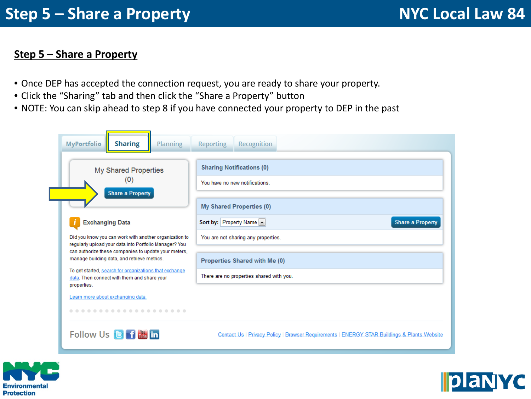#### **Step 5 – Share a Property**

- Once DEP has accepted the connection request, you are ready to share your property.
- Click the "Sharing" tab and then click the "Share a Property" button
- NOTE: You can skip ahead to step 8 if you have connected your property to DEP in the past

| <b>Sharing</b><br><b>MyPortfolio</b><br><b>Planning</b>                                                                                                                  | <b>Reporting</b><br>Recognition                                                             |
|--------------------------------------------------------------------------------------------------------------------------------------------------------------------------|---------------------------------------------------------------------------------------------|
| <b>My Shared Properties</b><br>(0)<br><b>Share a Property</b>                                                                                                            | <b>Sharing Notifications (0)</b><br>You have no new notifications                           |
| <b>Exchanging Data</b>                                                                                                                                                   | <b>My Shared Properties (0)</b><br>Sort by: Property Name<br><b>Share a Property</b>        |
| Did you know you can work with another organization to<br>regularly upload your data into Portfolio Manager? You<br>can authorize these companies to update your meters, | You are not sharing any properties.                                                         |
| manage building data, and retrieve metrics.                                                                                                                              | Properties Shared with Me (0)                                                               |
| To get started, search for organizations that exchange<br>data. Then connect with them and share your<br>properties.                                                     | There are no properties shared with you.                                                    |
| Learn more about exchanging data.<br>.                                                                                                                                   |                                                                                             |
| Follow Us <b>B</b> f <b>in</b> in                                                                                                                                        | Contact Us   Privacy Policy   Browser Requirements   ENERGY STAR Buildings & Plants Website |



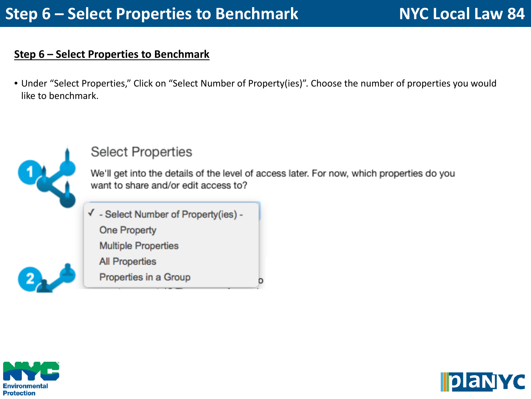#### **Step 6 – Select Properties to Benchmark**

• Under "Select Properties," Click on "Select Number of Property(ies)". Choose the number of properties you would like to benchmark.



## **Select Properties**

We'll get into the details of the level of access later. For now, which properties do you want to share and/or edit access to?

o

√ - Select Number of Property(ies) -

**One Property** 

**Multiple Properties** 

**All Properties** 

Properties in a Group



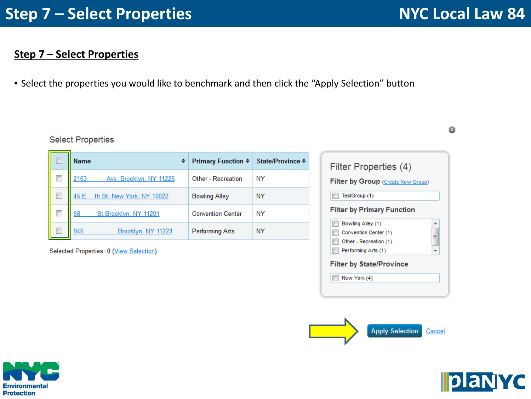0

### **Step 7 – Select Properties**

• Select the properties you would like to benchmark and then click the "Apply Selection" button

#### **Select Properties**

| Г | <b>Name</b><br>♦                  | <b>Primary Function ♦</b> | State/Province ≑ |
|---|-----------------------------------|---------------------------|------------------|
|   | 2163<br>Ave, Brooklyn, NY 11226   | <b>Other - Recreation</b> | <b>NY</b>        |
| Г | th St, New York, NY 10022<br>45 E | <b>Bowling Alley</b>      | <b>NY</b>        |
| г | 58<br>St Brooklyn, NY 11201       | <b>Convention Center</b>  | ΝY               |
|   | 945<br>Brooklyn, NY 11223         | <b>Performing Arts</b>    | ΝY               |

Selected Properties: 0 (View Selection)

| Filter Properties (4)                     |   |
|-------------------------------------------|---|
| <b>Filter by Group</b> (Create New Group) |   |
| TestGroup (1)                             |   |
| <b>Filter by Primary Function</b>         |   |
| Bowling Alley (1)                         | ▲ |
| Convention Center (1)                     | ≡ |
| Other - Recreation (1)                    |   |
| Performing Arts (1)                       |   |
| <b>Filter by State/Province</b>           |   |
| New York (4)                              |   |





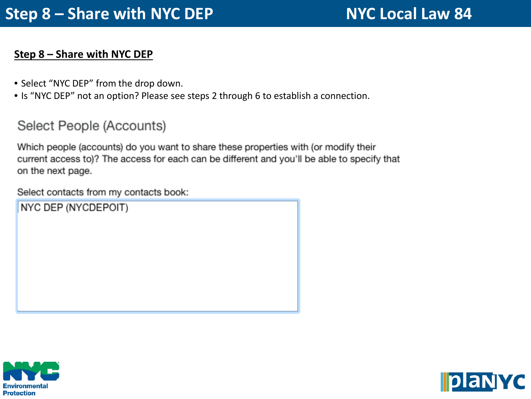#### **Step 8 – Share with NYC DEP**

- Select "NYC DEP" from the drop down.
- Is "NYC DEP" not an option? Please see steps 2 through 6 to establish a connection.

## Select People (Accounts)

Which people (accounts) do you want to share these properties with (or modify their current access to)? The access for each can be different and you'll be able to specify that on the next page.

Select contacts from my contacts book:

NYC DEP (NYCDEPOIT)



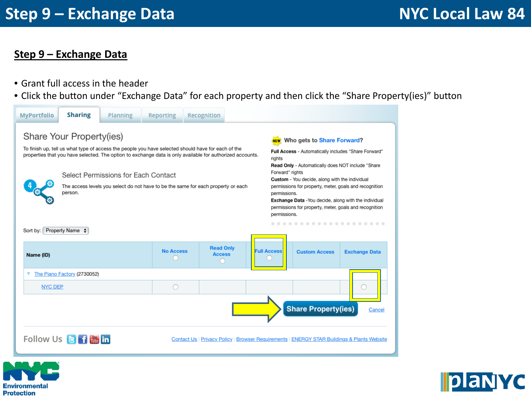#### **Step 9 – Exchange Data**

- Grant full access in the header
- Click the button under "Exchange Data" for each property and then click the "Share Property(ies)" button





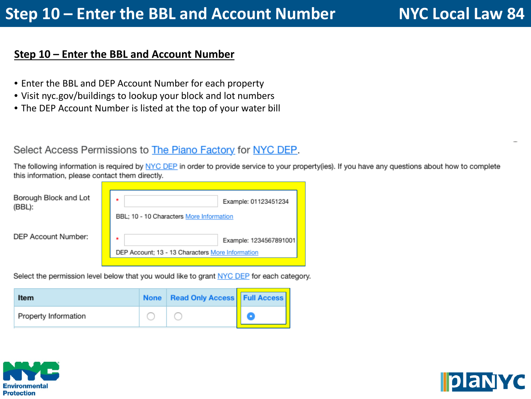#### **Step 10 – Enter the BBL and Account Number**

- Enter the BBL and DEP Account Number for each property
- Visit nyc.gov/buildings to lookup your block and lot numbers
- The DEP Account Number is listed at the top of your water bill

#### Select Access Permissions to The Piano Factory for NYC DEP.

The following information is required by NYC DEP in order to provide service to your property(ies). If you have any questions about how to complete this information, please contact them directly.

| Borough Block and Lot<br>(BBL): | ٠<br>BBL; 10 - 10 Characters More Information         | Example: 01123451234   |
|---------------------------------|-------------------------------------------------------|------------------------|
| DEP Account Number:             | ٠<br>DEP Account: 13 - 13 Characters More Information | Example: 1234567891001 |

Select the permission level below that you would like to grant NYC DEP for each category.

| Item                 | None   Read Only Access   Full Access |  |
|----------------------|---------------------------------------|--|
| Property Information |                                       |  |



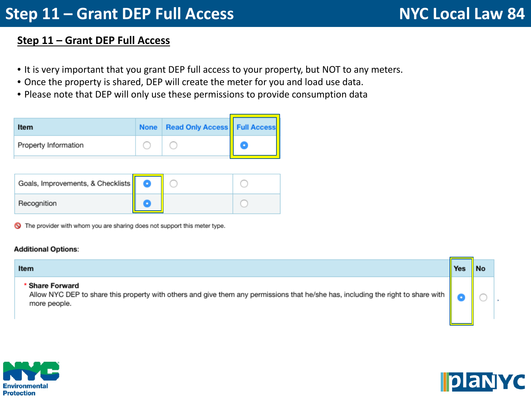# **Step 11 – Grant DEP Full Access NYC Local Law 84**

### **Step 11 – Grant DEP Full Access**

- It is very important that you grant DEP full access to your property, but NOT to any meters.
- Once the property is shared, DEP will create the meter for you and load use data.
- Please note that DEP will only use these permissions to provide consumption data

| Item                 | <b>None</b> | <b>Read Only Access   Full Access</b> |   |
|----------------------|-------------|---------------------------------------|---|
| Property Information |             |                                       | × |
|                      |             |                                       |   |
| --                   |             |                                       |   |

| Goals, Improvements, & Checklists |  |  |
|-----------------------------------|--|--|
| Recognition                       |  |  |

The provider with whom you are sharing does not support this meter type.

#### **Additional Options:**

| Item                                                                                                                                                                               | Yes |  |
|------------------------------------------------------------------------------------------------------------------------------------------------------------------------------------|-----|--|
| * Share Forward<br>Allow NYC DEP to share this property with others and give them any permissions that he/she has, including the right to share with $\ \bullet\ $<br>more people. |     |  |



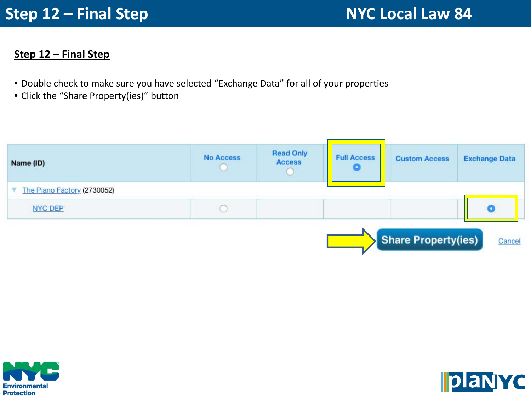#### **Step 12 – Final Step**

- Double check to make sure you have selected "Exchange Data" for all of your properties
- Click the "Share Property(ies)" button





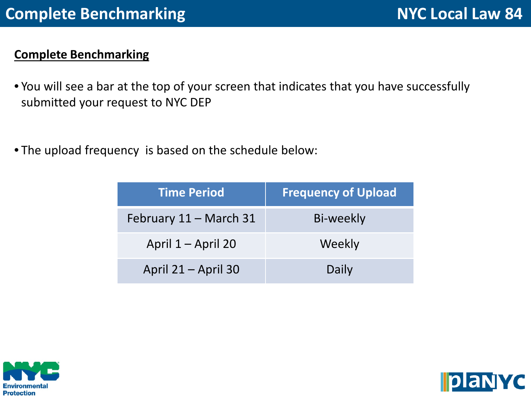## **Complete Benchmarking**

- You will see a bar at the top of your screen that indicates that you have successfully submitted your request to NYC DEP
- The upload frequency is based on the schedule below:

| <b>Time Period</b>     | <b>Frequency of Upload</b> |
|------------------------|----------------------------|
| February 11 – March 31 | Bi-weekly                  |
| April 1 – April 20     | Weekly                     |
| April 21 – April 30    | Daily                      |



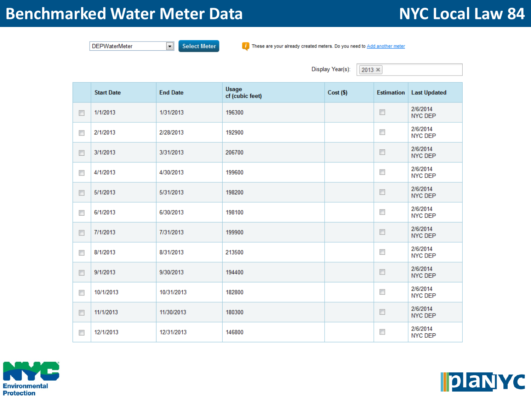# **Benchmarked Water Meter Data** Mater Network NYC Local Law 84

 $\vert \cdot \vert$ 

**Select Meter** 

**DEPWaterMeter** 

Display Year(s):  $2013 \times$ Usage **Start Date End Date**  $Cost($ \$) **Estimation Last Updated** cf (cubic feet) 2/6/2014  $\overline{\phantom{a}}$  $\Box$ 1/1/2013 1/31/2013 196300 **NYC DEP** 2/6/2014  $\overline{\phantom{a}}$ 2/1/2013 2/28/2013 192900  $\overline{\phantom{a}}$ **NYC DEP** 2/6/2014  $\overline{\mathbb{R}^n}$ 3/1/2013 3/31/2013 206700  $\Box$ **NYC DEP** 2/6/2014  $\overline{\phantom{a}}$ 4/1/2013 4/30/2013 199600  $\overline{\phantom{a}}$ **NYC DEP** 2/6/2014  $\overline{\phantom{a}}$ 5/1/2013 5/31/2013 198200  $\overline{\phantom{a}}$ **NYC DEP** 2/6/2014  $\overline{\mathbb{R}^n}$  $\Box$ 6/1/2013 6/30/2013 198100 **NYC DEP** 2/6/2014  $\overline{\mathbb{R}^n}$ 7/1/2013 7/31/2013 199900  $\overline{\mathbb{R}^n}$ NYC DEP 2/6/2014  $\overline{\mathbb{R}^n}$ 8/1/2013 8/31/2013 213500  $\Box$ **NYC DEP** 2/6/2014  $\overline{\mathbb{R}^n}$  $\overline{\mathbb{R}^n}$ 194400 9/1/2013 9/30/2013 NYC DEP 2/6/2014  $\overline{\phantom{a}}$ 182800  $\overline{\mathbb{R}^n}$ 10/1/2013 10/31/2013 NYC DEP 2/6/2014  $\overline{\mathbb{R}^n}$ 11/1/2013 11/30/2013 180300  $\Box$ NYC DEP 2/6/2014 12/1/2013  $\overline{\phantom{a}}$  $\overline{\mathbb{R}^n}$ 12/31/2013 146800 **NYC DEP** 

*i* These are your already created meters. Do you need to Add another meter



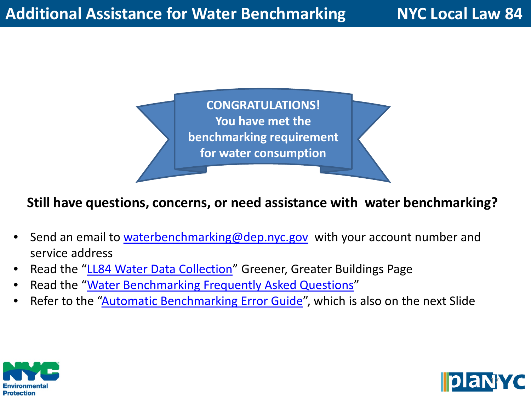**CONGRATULATIONS! You have met the benchmarking requirement for water consumption**

## **Still have questions, concerns, or need assistance with water benchmarking?**

- Send an email to [waterbenchmarking@dep.nyc.gov](mailto:waterbenchmarking@dep.nyc.gov) with your account number and service address
- Read the "[LL84 Water Data Collection](http://www.nyc.gov/html/gbee/html/plan/energy.shtml#water)" Greener, Greater Buildings Page
- Read the "[Water Benchmarking Frequently Asked Questions"](http://www.nyc.gov/html/gbee/downloads/pdf/130123_ll84_faq_water.pdf)
- Refer to the ["Automatic Benchmarking Error Guide"](http://www.nyc.gov/html/gbee/downloads/pdf/130123_abs_error_guide.pdf), which is also on the next Slide



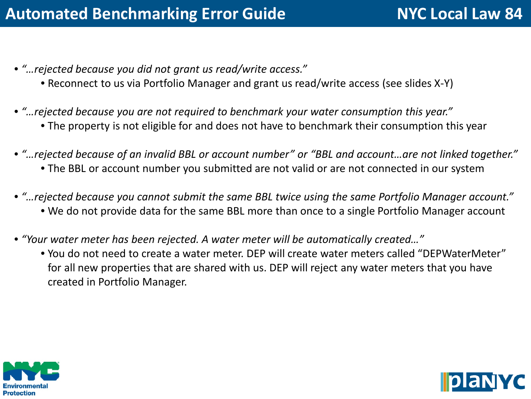- *"…rejected because you did not grant us read/write access."*
	- Reconnect to us via Portfolio Manager and grant us read/write access (see slides X-Y)
- *"…rejected because you are not required to benchmark your water consumption this year."* • The property is not eligible for and does not have to benchmark their consumption this year
- *"…rejected because of an invalid BBL or account number" or "BBL and account…are not linked together."* • The BBL or account number you submitted are not valid or are not connected in our system
- *"…rejected because you cannot submit the same BBL twice using the same Portfolio Manager account."* • We do not provide data for the same BBL more than once to a single Portfolio Manager account
- *"Your water meter has been rejected. A water meter will be automatically created…"*
	- You do not need to create a water meter. DEP will create water meters called "DEPWaterMeter" for all new properties that are shared with us. DEP will reject any water meters that you have created in Portfolio Manager.